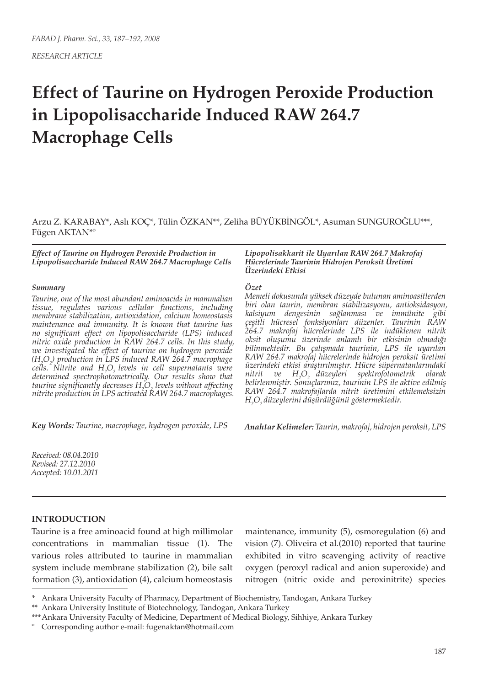*RESEARCH ARTICLE*

# **Effect of Taurine on Hydrogen Peroxide Production in Lipopolisaccharide Induced RAW 264.7 Macrophage Cells**

Arzu Z. KARABAY\*, Aslı KOÇ\*, Tülin ÖZKAN\*\*, Zeliha BÜYÜKBİNGÖL\*, Asuman SUNGUROĞLU\*\*\*, Fügen AKTAN\*º

*Effect of Taurine on Hydrogen Peroxide Production in Lipopolisaccharide Induced RAW 264.7 Macrophage Cells*

#### *Summary*

*Taurine, one of the most abundant aminoacids in mammalian tissue, regulates various cellular functions, including membrane stabilization, antioxidation, calcium homeostasis maintenance and immunity. It is known that taurine has no significant effect on lipopolisaccharide (LPS) induced nitric oxide production in RAW 264.7 cells. In this study, we investigated the effect of taurine on hydrogen peroxide (H2 O2 ) production in LPS induced RAW 264.7 macrophage cells. Nitrite and H2 O2 levels in cell supernatants were determined spectrophotometrically. Our results show that taurine significantly decreases H2 O2 levels without affecting nitrite production in LPS activated RAW 264.7 macrophages.*

*Key Words: Taurine, macrophage, hydrogen peroxide, LPS*

*Received: 08.04.2010 Revised: 27.12.2010 Accepted: 10.01.2011*

# **INTRODUCTION**

Taurine is a free aminoacid found at high millimolar concentrations in mammalian tissue (1). The various roles attributed to taurine in mammalian system include membrane stabilization (2), bile salt formation (3), antioxidation (4), calcium homeostasis

maintenance, immunity (5), osmoregulation (6) and vision (7). Oliveira et al.(2010) reported that taurine exhibited in vitro scavenging activity of reactive oxygen (peroxyl radical and anion superoxide) and nitrogen (nitric oxide and peroxinitrite) species

#### *Lipopolisakkarit ile Uyarılan RAW 264.7 Makrofaj Hücrelerinde Taurinin Hidrojen Peroksit Üretimi Üzerindeki Etkisi*

## *Özet*

*Memeli dokusunda yüksek düzeyde bulunan aminoasitlerden biri olan taurin, membran stabilizasyonu, antioksidasyon, kalsiyum dengesinin sağlanması ve immünite gibi çeşitli hücresel fonksiyonları düzenler. Taurinin RAW 264.7 makrofaj hücrelerinde LPS ile indüklenen nitrik oksit oluşumu üzerinde anlamlı bir etkisinin olmadığı bilinmektedir. Bu çalışmada taurinin, LPS ile uyarılan RAW 264.7 makrofaj hücrelerinde hidrojen peroksit üretimi üzerindeki etkisi araştırılmıştır. Hücre süpernatanlarındaki nitrit ve O2 düzeyleri spektrofotometrik olarak belirlenmiştir. Sonuçlarımız, taurinin LPS ile aktive edilmiş RAW 264.7 makrofajlarda nitrit üretimini etkilemeksizin H2 O2 düzeylerini düşürdüğünü göstermektedir.*

*Anahtar Kelimeler: Taurin, makrofaj, hidrojen peroksit, LPS*

<sup>\*</sup> Ankara University Faculty of Pharmacy, Department of Biochemistry, Tandogan, Ankara Turkey

<sup>\*\*</sup> Ankara University Institute of Biotechnology, Tandogan, Ankara Turkey

<sup>\*\*\*</sup>Ankara University Faculty of Medicine, Department of Medical Biology, Sihhiye, Ankara Turkey

º Corresponding author e-mail: fugenaktan@hotmail.com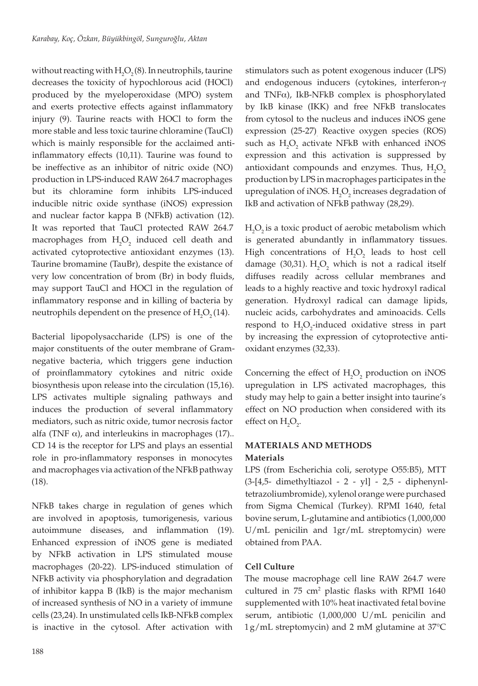without reacting with  $\rm H_2O_2(8)$ . In neutrophils, taurine decreases the toxicity of hypochlorous acid (HOCl) produced by the myeloperoxidase (MPO) system and exerts protective effects against inflammatory injury (9). Taurine reacts with HOCl to form the more stable and less toxic taurine chloramine (TauCl) which is mainly responsible for the acclaimed antiinflammatory effects (10,11). Taurine was found to be ineffective as an inhibitor of nitric oxide (NO) production in LPS-induced RAW 264.7 macrophages but its chloramine form inhibits LPS-induced inducible nitric oxide synthase (iNOS) expression and nuclear factor kappa B (NFkB) activation (12). It was reported that TauCl protected RAW 264.7 macrophages from  $H_2O_2$  induced cell death and activated cytoprotective antioxidant enzymes (13). Taurine bromamine (TauBr), despite the existance of very low concentration of brom (Br) in body fluids, may support TauCl and HOCl in the regulation of inflammatory response and in killing of bacteria by neutrophils dependent on the presence of  $H_2O_2(14)$ .

Bacterial lipopolysaccharide (LPS) is one of the major constituents of the outer membrane of Gramnegative bacteria, which triggers gene induction of proinflammatory cytokines and nitric oxide biosynthesis upon release into the circulation (15,16). LPS activates multiple signaling pathways and induces the production of several inflammatory mediators, such as nitric oxide, tumor necrosis factor alfa (TNF  $\alpha$ ), and interleukins in macrophages (17).. CD 14 is the receptor for LPS and plays an essential role in pro-inflammatory responses in monocytes and macrophages via activation of the NFkB pathway (18).

NFkB takes charge in regulation of genes which are involved in apoptosis, tumorigenesis, various autoimmune diseases, and inflammation (19). Enhanced expression of iNOS gene is mediated by NFkB activation in LPS stimulated mouse macrophages (20-22). LPS-induced stimulation of NFkB activity via phosphorylation and degradation of inhibitor kappa B (IkB) is the major mechanism of increased synthesis of NO in a variety of immune cells (23,24). In unstimulated cells IkB-NFkB complex is inactive in the cytosol. After activation with

stimulators such as potent exogenous inducer (LPS) and endogenous inducers (cytokines, interferon-γ and TNF $\alpha$ ), IkB-NFkB complex is phosphorylated by IkB kinase (IKK) and free NFkB translocates from cytosol to the nucleus and induces iNOS gene expression (25-27). Reactive oxygen species (ROS) such as  $H_2O_2$  activate NFkB with enhanced iNOS expression and this activation is suppressed by antioxidant compounds and enzymes. Thus,  $H_2O_2$ production by LPS in macrophages participates in the upregulation of iNOS.  $H_2O_2$  increases degradation of IkB and activation of NFkB pathway (28,29).

 $H_2O_2$  is a toxic product of aerobic metabolism which is generated abundantly in inflammatory tissues. High concentrations of  $H_2O_2$  leads to host cell damage (30,31).  $H_2O_2$  which is not a radical itself diffuses readily across cellular membranes and leads to a highly reactive and toxic hydroxyl radical generation. Hydroxyl radical can damage lipids, nucleic acids, carbohydrates and aminoacids. Cells respond to  $H_2O_2$ -induced oxidative stress in part by increasing the expression of cytoprotective antioxidant enzymes (32,33).

Concerning the effect of  $H_2O_2$  production on iNOS upregulation in LPS activated macrophages, this study may help to gain a better insight into taurine's effect on NO production when considered with its effect on  $H_2O_2$ .

## **MATERIALS AND METHODS Materials**

LPS (from Escherichia coli, serotype O55:B5), MTT (3-[4,5- dimethyltiazol - 2 - yl] - 2,5 - diphenynltetrazoliumbromide), xylenol orange were purchased from Sigma Chemical (Turkey). RPMI 1640, fetal bovine serum, L-glutamine and antibiotics (1,000,000 U/mL penicilin and 1gr/mL streptomycin) were obtained from PAA.

# **Cell Culture**

The mouse macrophage cell line RAW 264.7 were cultured in  $75 \text{ cm}^2$  plastic flasks with RPMI 1640 supplemented with 10% heat inactivated fetal bovine serum, antibiotic (1,000,000 U/mL penicilin and 1g/mL streptomycin) and 2 mM glutamine at 37°C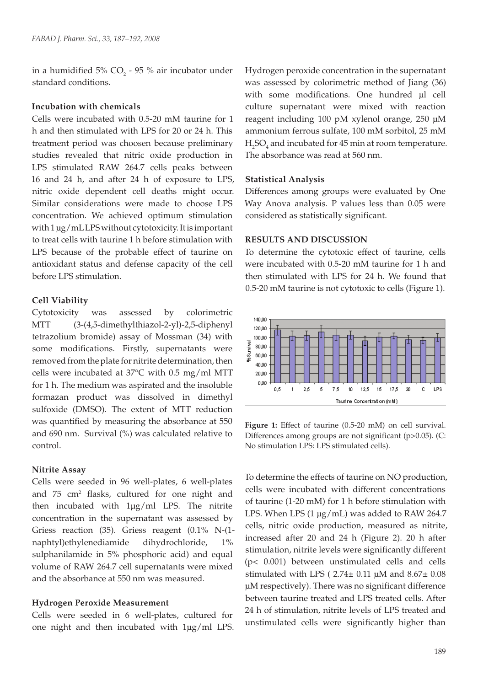in a humidified  $5\%$  CO<sub>2</sub> - 95  $\%$  air incubator under standard conditions.

# **Incubation with chemicals**

Cells were incubated with 0.5-20 mM taurine for 1 h and then stimulated with LPS for 20 or 24 h. This treatment period was choosen because preliminary studies revealed that nitric oxide production in LPS stimulated RAW 264.7 cells peaks between 16 and 24 h, and after 24 h of exposure to LPS, nitric oxide dependent cell deaths might occur. Similar considerations were made to choose LPS concentration. We achieved optimum stimulation with 1 μg/mL LPS without cytotoxicity. It is important to treat cells with taurine 1 h before stimulation with LPS because of the probable effect of taurine on antioxidant status and defense capacity of the cell before LPS stimulation.

### **Cell Viability**

Cytotoxicity was assessed by colorimetric MTT (3-(4,5-dimethylthiazol-2-yl)-2,5-diphenyl tetrazolium bromide) assay of Mossman (34) with some modifications. Firstly, supernatants were removed from the plate for nitrite determination, then cells were incubated at 37°C with 0.5 mg/ml MTT for 1 h. The medium was aspirated and the insoluble formazan product was dissolved in dimethyl sulfoxide (DMSO). The extent of MTT reduction was quantified by measuring the absorbance at 550 and 690 nm. Survival (%) was calculated relative to control.

#### **Nitrite Assay**

Cells were seeded in 96 well-plates, 6 well-plates and 75 cm<sup>2</sup> flasks, cultured for one night and then incubated with 1μg/ml LPS. The nitrite concentration in the supernatant was assessed by Griess reaction (35). Griess reagent (0.1% N-(1 naphtyl)ethylenediamide dihydrochloride, 1% sulphanilamide in 5% phosphoric acid) and equal volume of RAW 264.7 cell supernatants were mixed and the absorbance at 550 nm was measured.

#### **Hydrogen Peroxide Measurement**

Cells were seeded in 6 well-plates, cultured for one night and then incubated with 1μg/ml LPS.

Hydrogen peroxide concentration in the supernatant was assessed by colorimetric method of Jiang (36) with some modifications. One hundred µl cell culture supernatant were mixed with reaction reagent including 100 pM xylenol orange, 250 µM ammonium ferrous sulfate, 100 mM sorbitol, 25 mM  $H_2SO_4$  and incubated for 45 min at room temperature. The absorbance was read at 560 nm.

## **Statistical Analysis**

Differences among groups were evaluated by One Way Anova analysis. P values less than 0.05 were considered as statistically significant.

#### **RESULTS AND DISCUSSION**

To determine the cytotoxic effect of taurine, cells were incubated with 0.5-20 mM taurine for 1 h and then stimulated with LPS for 24 h. We found that 0.5-20 mM taurine is not cytotoxic to cells (Figure 1).



**Figure 1:** Effect of taurine (0.5-20 mM) on cell survival. Differences among groups are not significant (p>0.05). (C: No stimulation LPS: LPS stimulated cells).

To determine the effects of taurine on NO production, cells were incubated with different concentrations of taurine (1-20 mM) for 1 h before stimulation with LPS. When LPS (1 µg/mL) was added to RAW 264.7 cells, nitric oxide production, measured as nitrite, increased after 20 and 24 h (Figure 2). 20 h after stimulation, nitrite levels were significantly different (p< 0.001) between unstimulated cells and cells stimulated with LPS ( $2.74 \pm 0.11$  µM and  $8.67 \pm 0.08$ μM respectively). There was no significant difference between taurine treated and LPS treated cells. After 24 h of stimulation, nitrite levels of LPS treated and unstimulated cells were significantly higher than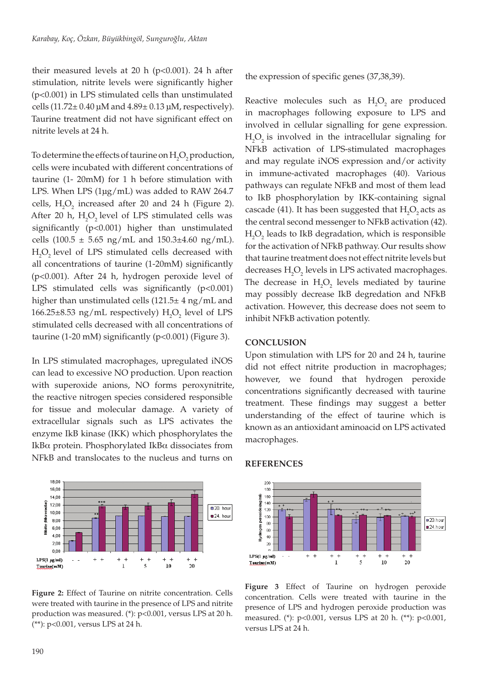their measured levels at 20 h  $(p<0.001)$ . 24 h after stimulation, nitrite levels were significantly higher (p<0.001) in LPS stimulated cells than unstimulated cells (11.72 $\pm$  0.40 μM and 4.89 $\pm$  0.13 μM, respectively). Taurine treatment did not have significant effect on nitrite levels at 24 h.

To determine the effects of taurine on  $\mathrm{H}_{2}\mathrm{O}_{2}$  production, cells were incubated with different concentrations of taurine (1- 20mM) for 1 h before stimulation with LPS. When LPS (1µg/mL) was added to RAW 264.7 cells,  $H_2O_2$  increased after 20 and 24 h (Figure 2). After 20 h,  $H_2O_2$  level of LPS stimulated cells was significantly (p<0.001) higher than unstimulated cells  $(100.5 \pm 5.65 \text{ ng/mL}$  and  $150.3\pm 4.60 \text{ ng/mL}$ .  $H_2O_2$  level of LPS stimulated cells decreased with all concentrations of taurine (1-20mM) significantly (p<0.001). After 24 h, hydrogen peroxide level of LPS stimulated cells was significantly  $(p<0.001)$ higher than unstimulated cells (121.5± 4 ng/mL and  $166.25 \pm 8.53$  ng/mL respectively)  $H_2O_2$  level of LPS stimulated cells decreased with all concentrations of taurine (1-20 mM) significantly (p<0.001) (Figure 3).

In LPS stimulated macrophages, upregulated iNOS can lead to excessive NO production. Upon reaction with superoxide anions, NO forms peroxynitrite, the reactive nitrogen species considered responsible for tissue and molecular damage. A variety of extracellular signals such as LPS activates the enzyme IkB kinase (IKK) which phosphorylates the IkBα protein. Phosphorylated IkBα dissociates from NFkB and translocates to the nucleus and turns on



**Figure 2:** Effect of Taurine on nitrite concentration. Cells were treated with taurine in the presence of LPS and nitrite production was measured. (\*): p<0.001, versus LPS at 20 h. (\*\*): p<0.001, versus LPS at 24 h.

the expression of specific genes (37,38,39).

Reactive molecules such as  $H_2O_2$  are produced in macrophages following exposure to LPS and involved in cellular signalling for gene expression.  $H_2O_2$  is involved in the intracellular signaling for NFkB activation of LPS-stimulated macrophages and may regulate iNOS expression and/or activity in immune-activated macrophages (40). Various pathways can regulate NFkB and most of them lead to IkB phosphorylation by IKK-containing signal cascade (41). It has been suggested that  $\rm H_2O_2$  acts as the central second messenger to NFkB activation (42).  $H_2O_2$  leads to IkB degradation, which is responsible for the activation of NFkB pathway. Our results show that taurine treatment does not effect nitrite levels but decreases  $H_2O_2$  levels in LPS activated macrophages. The decrease in  $H_2O_2$  levels mediated by taurine may possibly decrease IkB degredation and NFkB activation. However, this decrease does not seem to inhibit NFkB activation potently.

## **CONCLUSION**

Upon stimulation with LPS for 20 and 24 h, taurine did not effect nitrite production in macrophages; however, we found that hydrogen peroxide concentrations significantly decreased with taurine treatment. These findings may suggest a better understanding of the effect of taurine which is known as an antioxidant aminoacid on LPS activated macrophages.

## **REFERENCES**



**Figure 3** Effect of Taurine on hydrogen peroxide concentration. Cells were treated with taurine in the presence of LPS and hydrogen peroxide production was measured. (\*): p<0.001, versus LPS at 20 h. (\*\*): p<0.001, versus LPS at 24 h.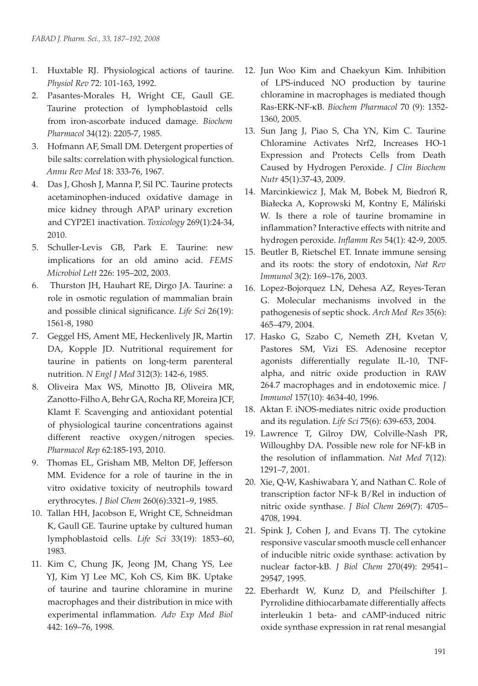- 1. Huxtable RJ. Physiological actions of taurine*. Physiol Rev* 72: 101-163, 1992.
- 2. Pasantes-Morales H, Wright CE, Gaull GE. Taurine protection of lymphoblastoid cells from iron-ascorbate induced damage. *Biochem Pharmacol* 34(12): 2205-7, 1985.
- 3. Hofmann AF, Small DM. Detergent properties of bile salts: correlation with physiological function. *Annu Rev Med* 18: 333-76, 1967.
- 4. Das J, Ghosh J, Manna P, Sil PC. Taurine protects acetaminophen-induced oxidative damage in mice kidney through APAP urinary excretion and CYP2E1 inactivation. *Toxicology* 269(1):24-34, 2010.
- 5. Schuller-Levis GB, Park E. Taurine: new implications for an old amino acid. *FEMS Microbiol Lett* 226: 195–202, 2003.
- 6. Thurston JH, Hauhart RE, Dirgo JA. Taurine: a role in osmotic regulation of mammalian brain and possible clinical significance. *Life Sci* 26(19): 1561-8, 1980
- 7. Geggel HS, Ament ME, Heckenlively JR, Martin DA, Kopple JD. Nutritional requirement for taurine in patients on long-term parenteral nutrition. *N Engl J Med* 312(3): 142-6, 1985.
- 8. Oliveira Max WS, Minotto JB, Oliveira MR, Zanotto-Filho A, Behr GA, Rocha RF, Moreira JCF, Klamt F. Scavenging and antioxidant potential of physiological taurine concentrations against different reactive oxygen/nitrogen species. *Pharmacol Rep* 62:185-193, 2010.
- 9. Thomas EL, Grisham MB, Melton DF, Jefferson MM. Evidence for a role of taurine in the in vitro oxidative toxicity of neutrophils toward erythrocytes. *J Biol Chem* 260(6):3321–9, 1985.
- 10. Tallan HH, Jacobson E, Wright CE, Schneidman K, Gaull GE. Taurine uptake by cultured human lymphoblastoid cells. *Life Sci* 33(19): 1853–60, 1983.
- 11. Kim C, Chung JK, Jeong JM, Chang YS, Lee YJ, Kim YJ Lee MC, Koh CS, Kim BK. Uptake of taurine and taurine chloramine in murine macrophages and their distribution in mice with experimental inflammation*. Adv Exp Med Biol* 442: 169–76, 1998.
- 12. Jun Woo Kim and Chaekyun Kim. Inhibition of LPS-induced NO production by taurine chloramine in macrophages is mediated though Ras-ERK-NF-κB. *Biochem Pharmacol* 70 (9): 1352- 1360, 2005.
- 13. Sun Jang J, Piao S, Cha YN, Kim C. Taurine Chloramine Activates Nrf2, Increases HO-1 Expression and Protects Cells from Death Caused by Hydrogen Peroxide. *J Clin Biochem Nutr* 45(1):37-43, 2009.
- 14. Marcinkiewicz J, Mak M, Bobek M, Biedroń R, Białecka A, Koprowski M, Kontny E, Máliński W. Is there a role of taurine bromamine in inflammation? Interactive effects with nitrite and hydrogen peroxide. *Inflamm Res* 54(1): 42-9, 2005.
- 15. Beutler B, Rietschel ET. Innate immune sensing and its roots: the story of endotoxin, *Nat Rev Immunol* 3(2): 169–176, 2003.
- 16. Lopez-Bojorquez LN, Dehesa AZ, Reyes-Teran G. Molecular mechanisms involved in the pathogenesis of septic shock. *Arch Med Res* 35(6): 465–479, 2004.
- 17. Hasko G, Szabo C, Nemeth ZH, Kvetan V, Pastores SM, Vizi ES. Adenosine receptor agonists differentially regulate IL-10, TNFalpha, and nitric oxide production in RAW 264.7 macrophages and in endotoxemic mice. *J Immunol* 157(10): 4634-40, 1996.
- 18. Aktan F. iNOS-mediates nitric oxide production and its regulation. *Life Sci* 75(6): 639-653, 2004.
- 19. Lawrence T, Gilroy DW, Colville-Nash PR, Willoughby DA. Possible new role for NF-kB in the resolution of inflammation. *Nat Med* 7(12): 1291–7, 2001.
- 20. Xie, Q-W, Kashiwabara Y, and Nathan C. Role of transcription factor NF-k B/Rel in induction of nitric oxide synthase. *J Biol Chem* 269(7): 4705– 4708, 1994.
- 21. Spink J, Cohen J, and Evans TJ. The cytokine responsive vascular smooth muscle cell enhancer of inducible nitric oxide synthase: activation by nuclear factor-kB. *J Biol Chem* 270(49): 29541– 29547, 1995.
- 22. Eberhardt W, Kunz D, and Pfeilschifter J. Pyrrolidine dithiocarbamate differentially affects interleukin 1 beta- and cAMP-induced nitric oxide synthase expression in rat renal mesangial